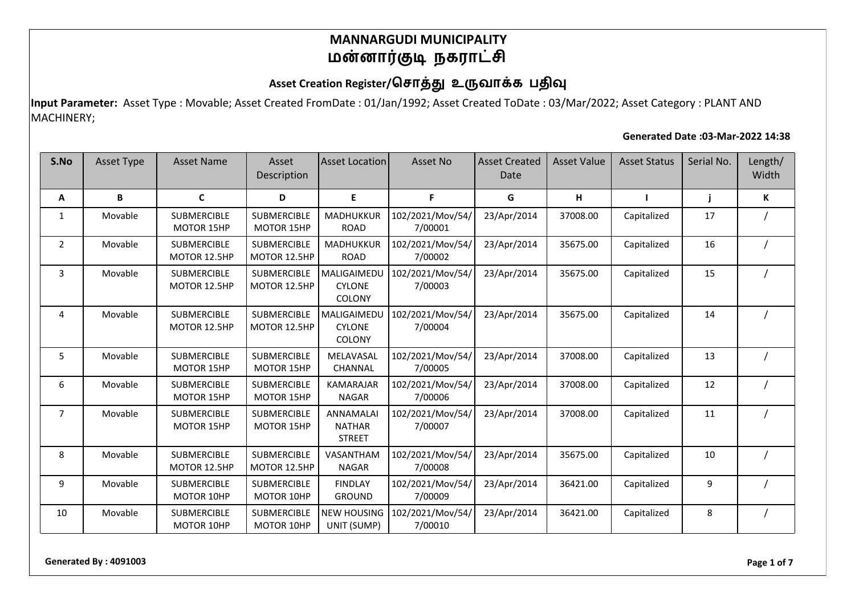## Asset Creation Register/சொத்து உருவாக்க பதிவு

**Input Parameter:** Asset Type : Movable; Asset Created FromDate : 01/Jan/1992; Asset Created ToDate : 03/Mar/2022; Asset Category : PLANT AND MACHINERY;

#### **Generated Date :03-Mar-2022 14:38**

| S.No           | Asset Type | <b>Asset Name</b>                       | Asset<br>Description               | <b>Asset Location</b>                              | Asset No                    | <b>Asset Created</b><br>Date | <b>Asset Value</b> | <b>Asset Status</b> | Serial No. | Length/<br>Width |
|----------------|------------|-----------------------------------------|------------------------------------|----------------------------------------------------|-----------------------------|------------------------------|--------------------|---------------------|------------|------------------|
| Α              | В          | $\mathbf c$                             | D                                  | E                                                  | F                           | G                            | H                  |                     |            | K                |
| 1              | Movable    | <b>SUBMERCIBLE</b><br><b>MOTOR 15HP</b> | SUBMERCIBLE<br>MOTOR 15HP          | MADHUKKUR<br><b>ROAD</b>                           | 102/2021/Mov/54/<br>7/00001 | 23/Apr/2014                  | 37008.00           | Capitalized         | 17         |                  |
| $\overline{2}$ | Movable    | <b>SUBMERCIBLE</b><br>MOTOR 12.5HP      | <b>SUBMERCIBLE</b><br>MOTOR 12.5HP | MADHUKKUR<br><b>ROAD</b>                           | 102/2021/Mov/54/<br>7/00002 | 23/Apr/2014                  | 35675.00           | Capitalized         | 16         |                  |
| 3              | Movable    | <b>SUBMERCIBLE</b><br>MOTOR 12.5HP      | SUBMERCIBLE<br>MOTOR 12.5HP        | MALIGAIMEDU<br><b>CYLONE</b><br>COLONY             | 102/2021/Mov/54/<br>7/00003 | 23/Apr/2014                  | 35675.00           | Capitalized         | 15         |                  |
| 4              | Movable    | <b>SUBMERCIBLE</b><br>MOTOR 12.5HP      | <b>SUBMERCIBLE</b><br>MOTOR 12.5HP | MALIGAIMEDU<br><b>CYLONE</b><br>COLONY             | 102/2021/Mov/54/<br>7/00004 | 23/Apr/2014                  | 35675.00           | Capitalized         | 14         |                  |
| 5              | Movable    | <b>SUBMERCIBLE</b><br><b>MOTOR 15HP</b> | <b>SUBMERCIBLE</b><br>MOTOR 15HP   | MELAVASAL<br><b>CHANNAL</b>                        | 102/2021/Mov/54/<br>7/00005 | 23/Apr/2014                  | 37008.00           | Capitalized         | 13         |                  |
| 6              | Movable    | <b>SUBMERCIBLE</b><br><b>MOTOR 15HP</b> | <b>SUBMERCIBLE</b><br>MOTOR 15HP   | <b>KAMARAJAR</b><br><b>NAGAR</b>                   | 102/2021/Mov/54/<br>7/00006 | 23/Apr/2014                  | 37008.00           | Capitalized         | 12         |                  |
| $\overline{7}$ | Movable    | <b>SUBMERCIBLE</b><br><b>MOTOR 15HP</b> | <b>SUBMERCIBLE</b><br>MOTOR 15HP   | <b>ANNAMALAI</b><br><b>NATHAR</b><br><b>STREET</b> | 102/2021/Mov/54/<br>7/00007 | 23/Apr/2014                  | 37008.00           | Capitalized         | 11         |                  |
| 8              | Movable    | <b>SUBMERCIBLE</b><br>MOTOR 12.5HP      | <b>SUBMERCIBLE</b><br>MOTOR 12.5HP | VASANTHAM<br><b>NAGAR</b>                          | 102/2021/Mov/54/<br>7/00008 | 23/Apr/2014                  | 35675.00           | Capitalized         | 10         |                  |
| 9              | Movable    | <b>SUBMERCIBLE</b><br>MOTOR 10HP        | SUBMERCIBLE<br>MOTOR 10HP          | <b>FINDLAY</b><br><b>GROUND</b>                    | 102/2021/Mov/54/<br>7/00009 | 23/Apr/2014                  | 36421.00           | Capitalized         | 9          |                  |
| 10             | Movable    | <b>SUBMERCIBLE</b><br>MOTOR 10HP        | <b>SUBMERCIBLE</b><br>MOTOR 10HP   | <b>NEW HOUSING</b><br>UNIT (SUMP)                  | 102/2021/Mov/54/<br>7/00010 | 23/Apr/2014                  | 36421.00           | Capitalized         | 8          |                  |

**Generated By : 4091003 Page 1 of 7**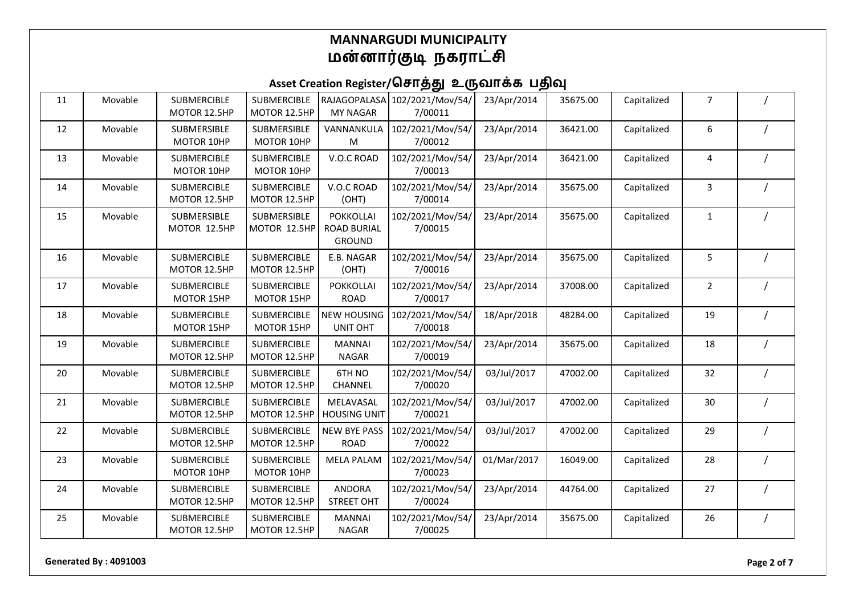| 11 | Movable | <b>SUBMERCIBLE</b><br>MOTOR 12.5HP | SUBMERCIBLE<br>MOTOR 12.5HP        | RAJAGOPALASA<br><b>MY NAGAR</b>                         | 102/2021/Mov/54/<br>7/00011 | 23/Apr/2014 | 35675.00 | Capitalized | 7                       |          |
|----|---------|------------------------------------|------------------------------------|---------------------------------------------------------|-----------------------------|-------------|----------|-------------|-------------------------|----------|
| 12 | Movable | SUBMERSIBLE<br>MOTOR 10HP          | SUBMERSIBLE<br>MOTOR 10HP          | VANNANKULA<br>M                                         | 102/2021/Mov/54/<br>7/00012 | 23/Apr/2014 | 36421.00 | Capitalized | 6                       |          |
| 13 | Movable | <b>SUBMERCIBLE</b><br>MOTOR 10HP   | <b>SUBMERCIBLE</b><br>MOTOR 10HP   | V.O.C ROAD                                              | 102/2021/Mov/54/<br>7/00013 | 23/Apr/2014 | 36421.00 | Capitalized | $\overline{\mathbf{4}}$ |          |
| 14 | Movable | <b>SUBMERCIBLE</b><br>MOTOR 12.5HP | SUBMERCIBLE<br>MOTOR 12.5HP        | V.O.C ROAD<br>(OHT)                                     | 102/2021/Mov/54/<br>7/00014 | 23/Apr/2014 | 35675.00 | Capitalized | 3                       |          |
| 15 | Movable | SUBMERSIBLE<br>MOTOR 12.5HP        | SUBMERSIBLE<br>MOTOR 12.5HP        | <b>POKKOLLAI</b><br><b>ROAD BURIAL</b><br><b>GROUND</b> | 102/2021/Mov/54/<br>7/00015 | 23/Apr/2014 | 35675.00 | Capitalized | $\mathbf{1}$            |          |
| 16 | Movable | <b>SUBMERCIBLE</b><br>MOTOR 12.5HP | <b>SUBMERCIBLE</b><br>MOTOR 12.5HP | E.B. NAGAR<br>(OHT)                                     | 102/2021/Mov/54/<br>7/00016 | 23/Apr/2014 | 35675.00 | Capitalized | 5                       |          |
| 17 | Movable | <b>SUBMERCIBLE</b><br>MOTOR 15HP   | <b>SUBMERCIBLE</b><br>MOTOR 15HP   | <b>POKKOLLAI</b><br><b>ROAD</b>                         | 102/2021/Mov/54/<br>7/00017 | 23/Apr/2014 | 37008.00 | Capitalized | $\overline{2}$          |          |
| 18 | Movable | <b>SUBMERCIBLE</b><br>MOTOR 15HP   | <b>SUBMERCIBLE</b><br>MOTOR 15HP   | <b>NEW HOUSING</b><br>UNIT OHT                          | 102/2021/Mov/54/<br>7/00018 | 18/Apr/2018 | 48284.00 | Capitalized | 19                      |          |
| 19 | Movable | <b>SUBMERCIBLE</b><br>MOTOR 12.5HP | SUBMERCIBLE<br>MOTOR 12.5HP        | <b>MANNAI</b><br><b>NAGAR</b>                           | 102/2021/Mov/54/<br>7/00019 | 23/Apr/2014 | 35675.00 | Capitalized | 18                      |          |
| 20 | Movable | <b>SUBMERCIBLE</b><br>MOTOR 12.5HP | SUBMERCIBLE<br>MOTOR 12.5HP        | 6TH NO<br>CHANNEL                                       | 102/2021/Mov/54/<br>7/00020 | 03/Jul/2017 | 47002.00 | Capitalized | 32                      |          |
| 21 | Movable | <b>SUBMERCIBLE</b><br>MOTOR 12.5HP | SUBMERCIBLE<br>MOTOR 12.5HP        | MELAVASAL<br><b>HOUSING UNIT</b>                        | 102/2021/Mov/54/<br>7/00021 | 03/Jul/2017 | 47002.00 | Capitalized | 30                      |          |
| 22 | Movable | <b>SUBMERCIBLE</b><br>MOTOR 12.5HP | <b>SUBMERCIBLE</b><br>MOTOR 12.5HP | <b>NEW BYE PASS</b><br><b>ROAD</b>                      | 102/2021/Mov/54/<br>7/00022 | 03/Jul/2017 | 47002.00 | Capitalized | 29                      |          |
| 23 | Movable | <b>SUBMERCIBLE</b><br>MOTOR 10HP   | <b>SUBMERCIBLE</b><br>MOTOR 10HP   | <b>MELA PALAM</b>                                       | 102/2021/Mov/54/<br>7/00023 | 01/Mar/2017 | 16049.00 | Capitalized | 28                      |          |
| 24 | Movable | <b>SUBMERCIBLE</b><br>MOTOR 12.5HP | <b>SUBMERCIBLE</b><br>MOTOR 12.5HP | <b>ANDORA</b><br><b>STREET OHT</b>                      | 102/2021/Mov/54/<br>7/00024 | 23/Apr/2014 | 44764.00 | Capitalized | 27                      |          |
| 25 | Movable | <b>SUBMERCIBLE</b><br>MOTOR 12.5HP | SUBMERCIBLE<br>MOTOR 12.5HP        | <b>MANNAI</b><br><b>NAGAR</b>                           | 102/2021/Mov/54/<br>7/00025 | 23/Apr/2014 | 35675.00 | Capitalized | 26                      | $\prime$ |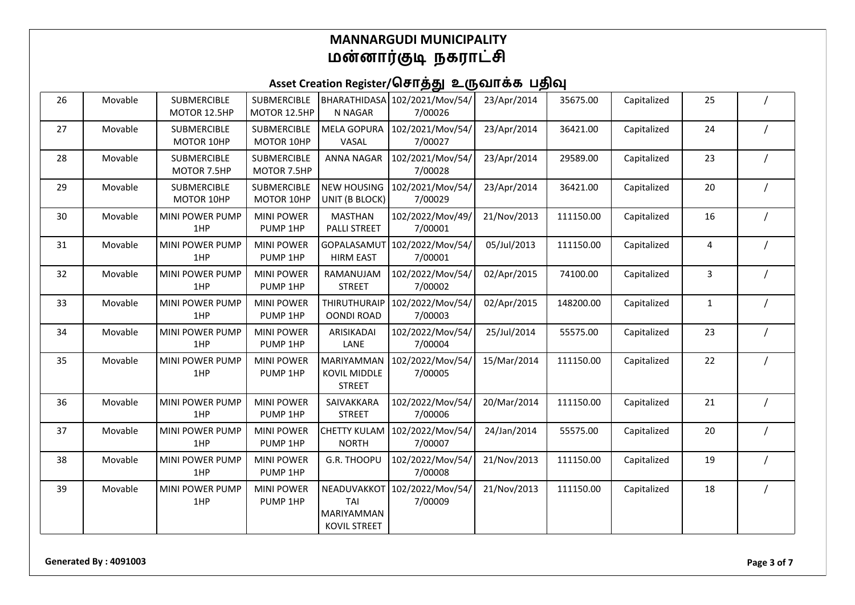| 26 | Movable | <b>SUBMERCIBLE</b><br>MOTOR 12.5HP | <b>SUBMERCIBLE</b><br>MOTOR 12.5HP | N NAGAR                                                   | BHARATHIDASA 102/2021/Mov/54/<br>7/00026 | 23/Apr/2014 | 35675.00  | Capitalized | 25           |  |
|----|---------|------------------------------------|------------------------------------|-----------------------------------------------------------|------------------------------------------|-------------|-----------|-------------|--------------|--|
| 27 | Movable | <b>SUBMERCIBLE</b><br>MOTOR 10HP   | <b>SUBMERCIBLE</b><br>MOTOR 10HP   | <b>MELA GOPURA</b><br>VASAL                               | 102/2021/Mov/54/<br>7/00027              | 23/Apr/2014 | 36421.00  | Capitalized | 24           |  |
| 28 | Movable | SUBMERCIBLE<br>MOTOR 7.5HP         | <b>SUBMERCIBLE</b><br>MOTOR 7.5HP  | <b>ANNA NAGAR</b>                                         | 102/2021/Mov/54/<br>7/00028              | 23/Apr/2014 | 29589.00  | Capitalized | 23           |  |
| 29 | Movable | <b>SUBMERCIBLE</b><br>MOTOR 10HP   | <b>SUBMERCIBLE</b><br>MOTOR 10HP   | <b>NEW HOUSING</b><br>UNIT (B BLOCK)                      | 102/2021/Mov/54/<br>7/00029              | 23/Apr/2014 | 36421.00  | Capitalized | 20           |  |
| 30 | Movable | MINI POWER PUMP<br>1HP             | <b>MINI POWER</b><br>PUMP 1HP      | <b>MASTHAN</b><br><b>PALLI STREET</b>                     | 102/2022/Mov/49/<br>7/00001              | 21/Nov/2013 | 111150.00 | Capitalized | 16           |  |
| 31 | Movable | <b>MINI POWER PUMP</b><br>1HP      | <b>MINI POWER</b><br>PUMP 1HP      | GOPALASAMUT<br><b>HIRM EAST</b>                           | 102/2022/Mov/54/<br>7/00001              | 05/Jul/2013 | 111150.00 | Capitalized | 4            |  |
| 32 | Movable | MINI POWER PUMP<br>1HP             | <b>MINI POWER</b><br>PUMP 1HP      | RAMANUJAM<br><b>STREET</b>                                | 102/2022/Mov/54/<br>7/00002              | 02/Apr/2015 | 74100.00  | Capitalized | 3            |  |
| 33 | Movable | <b>MINI POWER PUMP</b><br>1HP      | <b>MINI POWER</b><br>PUMP 1HP      | <b>THIRUTHURAIP</b><br><b>OONDI ROAD</b>                  | 102/2022/Mov/54/<br>7/00003              | 02/Apr/2015 | 148200.00 | Capitalized | $\mathbf{1}$ |  |
| 34 | Movable | MINI POWER PUMP<br>1HP             | <b>MINI POWER</b><br>PUMP 1HP      | ARISIKADAI<br>LANE                                        | 102/2022/Mov/54/<br>7/00004              | 25/Jul/2014 | 55575.00  | Capitalized | 23           |  |
| 35 | Movable | <b>MINI POWER PUMP</b><br>1HP      | <b>MINI POWER</b><br>PUMP 1HP      | <b>MARIYAMMAN</b><br><b>KOVIL MIDDLE</b><br><b>STREET</b> | 102/2022/Mov/54/<br>7/00005              | 15/Mar/2014 | 111150.00 | Capitalized | 22           |  |
| 36 | Movable | MINI POWER PUMP<br>1HP             | <b>MINI POWER</b><br>PUMP 1HP      | SAIVAKKARA<br><b>STREET</b>                               | 102/2022/Mov/54/<br>7/00006              | 20/Mar/2014 | 111150.00 | Capitalized | 21           |  |
| 37 | Movable | MINI POWER PUMP<br>1HP             | <b>MINI POWER</b><br>PUMP 1HP      | <b>CHETTY KULAM</b><br><b>NORTH</b>                       | 102/2022/Mov/54/<br>7/00007              | 24/Jan/2014 | 55575.00  | Capitalized | 20           |  |
| 38 | Movable | MINI POWER PUMP<br>1HP             | <b>MINI POWER</b><br>PUMP 1HP      | G.R. THOOPU                                               | 102/2022/Mov/54/<br>7/00008              | 21/Nov/2013 | 111150.00 | Capitalized | 19           |  |
| 39 | Movable | MINI POWER PUMP<br>1HP             | <b>MINI POWER</b><br>PUMP 1HP      | NEADUVAKKOT<br>TAI<br><b>MARIYAMMAN</b><br>KOVIL STREET   | 102/2022/Mov/54/<br>7/00009              | 21/Nov/2013 | 111150.00 | Capitalized | 18           |  |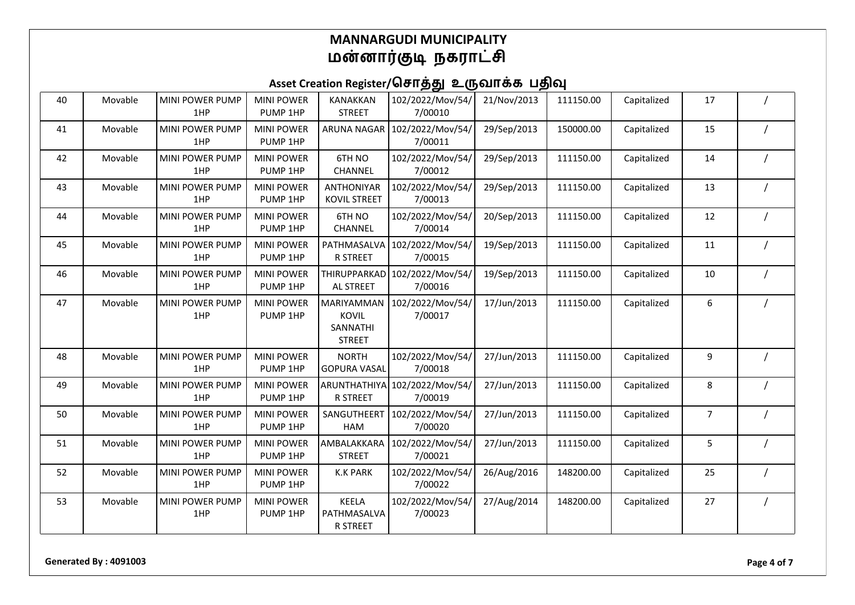| 40 | Movable | <b>MINI POWER PUMP</b><br>1HP | <b>MINI POWER</b><br>PUMP 1HP | <b>KANAKKAN</b><br><b>STREET</b>                        | 102/2022/Mov/54/<br>7/00010 | 21/Nov/2013 | 111150.00 | Capitalized | 17             |  |
|----|---------|-------------------------------|-------------------------------|---------------------------------------------------------|-----------------------------|-------------|-----------|-------------|----------------|--|
| 41 | Movable | <b>MINI POWER PUMP</b><br>1HP | <b>MINI POWER</b><br>PUMP 1HP | <b>ARUNA NAGAR</b>                                      | 102/2022/Mov/54/<br>7/00011 | 29/Sep/2013 | 150000.00 | Capitalized | 15             |  |
| 42 | Movable | MINI POWER PUMP<br>1HP        | <b>MINI POWER</b><br>PUMP 1HP | 6TH NO<br>CHANNEL                                       | 102/2022/Mov/54/<br>7/00012 | 29/Sep/2013 | 111150.00 | Capitalized | 14             |  |
| 43 | Movable | <b>MINI POWER PUMP</b><br>1HP | <b>MINI POWER</b><br>PUMP 1HP | <b>ANTHONIYAR</b><br>KOVIL STREET                       | 102/2022/Mov/54/<br>7/00013 | 29/Sep/2013 | 111150.00 | Capitalized | 13             |  |
| 44 | Movable | MINI POWER PUMP<br>1HP        | <b>MINI POWER</b><br>PUMP 1HP | 6TH NO<br>CHANNEL                                       | 102/2022/Mov/54/<br>7/00014 | 20/Sep/2013 | 111150.00 | Capitalized | 12             |  |
| 45 | Movable | MINI POWER PUMP<br>1HP        | <b>MINI POWER</b><br>PUMP 1HP | PATHMASALVA<br>R STREET                                 | 102/2022/Mov/54/<br>7/00015 | 19/Sep/2013 | 111150.00 | Capitalized | 11             |  |
| 46 | Movable | MINI POWER PUMP<br>1HP        | <b>MINI POWER</b><br>PUMP 1HP | THIRUPPARKAD<br>AL STREET                               | 102/2022/Mov/54/<br>7/00016 | 19/Sep/2013 | 111150.00 | Capitalized | 10             |  |
| 47 | Movable | MINI POWER PUMP<br>1HP        | <b>MINI POWER</b><br>PUMP 1HP | MARIYAMMAN<br><b>KOVIL</b><br>SANNATHI<br><b>STREET</b> | 102/2022/Mov/54/<br>7/00017 | 17/Jun/2013 | 111150.00 | Capitalized | 6              |  |
| 48 | Movable | MINI POWER PUMP<br>1HP        | <b>MINI POWER</b><br>PUMP 1HP | <b>NORTH</b><br><b>GOPURA VASAL</b>                     | 102/2022/Mov/54/<br>7/00018 | 27/Jun/2013 | 111150.00 | Capitalized | 9              |  |
| 49 | Movable | MINI POWER PUMP<br>1HP        | <b>MINI POWER</b><br>PUMP 1HP | <b>ARUNTHATHIYA</b><br><b>R STREET</b>                  | 102/2022/Mov/54/<br>7/00019 | 27/Jun/2013 | 111150.00 | Capitalized | 8              |  |
| 50 | Movable | MINI POWER PUMP<br>1HP        | <b>MINI POWER</b><br>PUMP 1HP | SANGUTHEERT<br>HAM                                      | 102/2022/Mov/54/<br>7/00020 | 27/Jun/2013 | 111150.00 | Capitalized | $\overline{7}$ |  |
| 51 | Movable | MINI POWER PUMP<br>1HP        | <b>MINI POWER</b><br>PUMP 1HP | AMBALAKKARA<br><b>STREET</b>                            | 102/2022/Mov/54/<br>7/00021 | 27/Jun/2013 | 111150.00 | Capitalized | 5              |  |
| 52 | Movable | MINI POWER PUMP<br>1HP        | <b>MINI POWER</b><br>PUMP 1HP | <b>K.K PARK</b>                                         | 102/2022/Mov/54/<br>7/00022 | 26/Aug/2016 | 148200.00 | Capitalized | 25             |  |
| 53 | Movable | MINI POWER PUMP<br>1HP        | <b>MINI POWER</b><br>PUMP 1HP | KEELA<br>PATHMASALVA<br>R STREET                        | 102/2022/Mov/54/<br>7/00023 | 27/Aug/2014 | 148200.00 | Capitalized | 27             |  |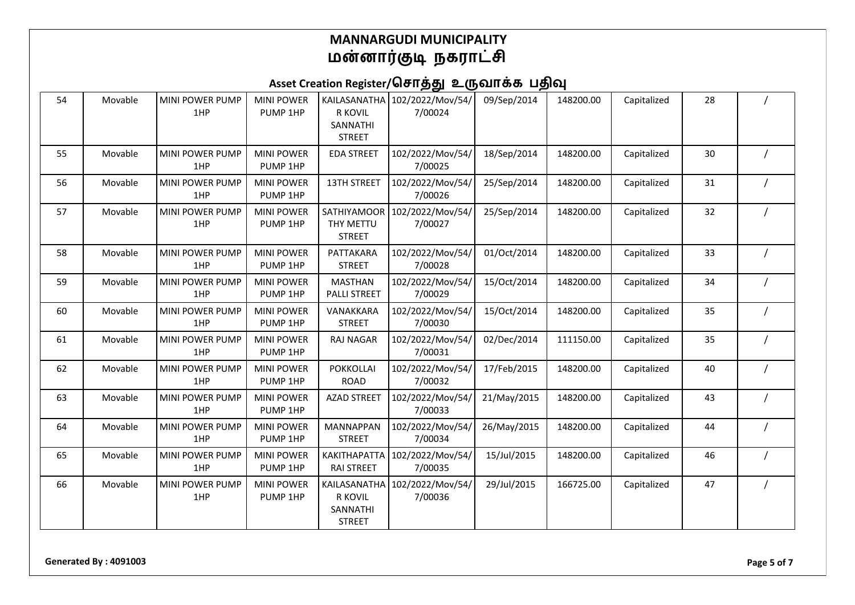| 54 | Movable | MINI POWER PUMP<br>1HP        | <b>MINI POWER</b><br>PUMP 1HP | R KOVIL<br>SANNATHI<br><b>STREET</b>                 | KAILASANATHA 102/2022/Mov/54/<br>7/00024 | 09/Sep/2014 | 148200.00 | Capitalized | 28 |  |
|----|---------|-------------------------------|-------------------------------|------------------------------------------------------|------------------------------------------|-------------|-----------|-------------|----|--|
| 55 | Movable | <b>MINI POWER PUMP</b><br>1HP | <b>MINI POWER</b><br>PUMP 1HP | <b>EDA STREET</b>                                    | 102/2022/Mov/54/<br>7/00025              | 18/Sep/2014 | 148200.00 | Capitalized | 30 |  |
| 56 | Movable | MINI POWER PUMP<br>1HP        | <b>MINI POWER</b><br>PUMP 1HP | <b>13TH STREET</b>                                   | 102/2022/Mov/54/<br>7/00026              | 25/Sep/2014 | 148200.00 | Capitalized | 31 |  |
| 57 | Movable | <b>MINI POWER PUMP</b><br>1HP | <b>MINI POWER</b><br>PUMP 1HP | SATHIYAMOOR<br>THY METTU<br><b>STREET</b>            | 102/2022/Mov/54/<br>7/00027              | 25/Sep/2014 | 148200.00 | Capitalized | 32 |  |
| 58 | Movable | MINI POWER PUMP<br>1HP        | <b>MINI POWER</b><br>PUMP 1HP | PATTAKARA<br><b>STREET</b>                           | 102/2022/Mov/54/<br>7/00028              | 01/Oct/2014 | 148200.00 | Capitalized | 33 |  |
| 59 | Movable | MINI POWER PUMP<br>1HP        | <b>MINI POWER</b><br>PUMP 1HP | <b>MASTHAN</b><br>PALLI STREET                       | 102/2022/Mov/54/<br>7/00029              | 15/Oct/2014 | 148200.00 | Capitalized | 34 |  |
| 60 | Movable | MINI POWER PUMP<br>1HP        | <b>MINI POWER</b><br>PUMP 1HP | VANAKKARA<br><b>STREET</b>                           | 102/2022/Mov/54/<br>7/00030              | 15/Oct/2014 | 148200.00 | Capitalized | 35 |  |
| 61 | Movable | <b>MINI POWER PUMP</b><br>1HP | <b>MINI POWER</b><br>PUMP 1HP | <b>RAJ NAGAR</b>                                     | 102/2022/Mov/54/<br>7/00031              | 02/Dec/2014 | 111150.00 | Capitalized | 35 |  |
| 62 | Movable | MINI POWER PUMP<br>1HP        | <b>MINI POWER</b><br>PUMP 1HP | <b>POKKOLLAI</b><br><b>ROAD</b>                      | 102/2022/Mov/54/<br>7/00032              | 17/Feb/2015 | 148200.00 | Capitalized | 40 |  |
| 63 | Movable | <b>MINI POWER PUMP</b><br>1HP | <b>MINI POWER</b><br>PUMP 1HP | <b>AZAD STREET</b>                                   | 102/2022/Mov/54/<br>7/00033              | 21/May/2015 | 148200.00 | Capitalized | 43 |  |
| 64 | Movable | MINI POWER PUMP<br>1HP        | <b>MINI POWER</b><br>PUMP 1HP | <b>MANNAPPAN</b><br><b>STREET</b>                    | 102/2022/Mov/54/<br>7/00034              | 26/May/2015 | 148200.00 | Capitalized | 44 |  |
| 65 | Movable | MINI POWER PUMP<br>1HP        | <b>MINI POWER</b><br>PUMP 1HP | <b>KAKITHAPATTA</b><br><b>RAI STREET</b>             | 102/2022/Mov/54/<br>7/00035              | 15/Jul/2015 | 148200.00 | Capitalized | 46 |  |
| 66 | Movable | <b>MINI POWER PUMP</b><br>1HP | <b>MINI POWER</b><br>PUMP 1HP | KAILASANATHA<br>R KOVIL<br>SANNATHI<br><b>STREET</b> | 102/2022/Mov/54/<br>7/00036              | 29/Jul/2015 | 166725.00 | Capitalized | 47 |  |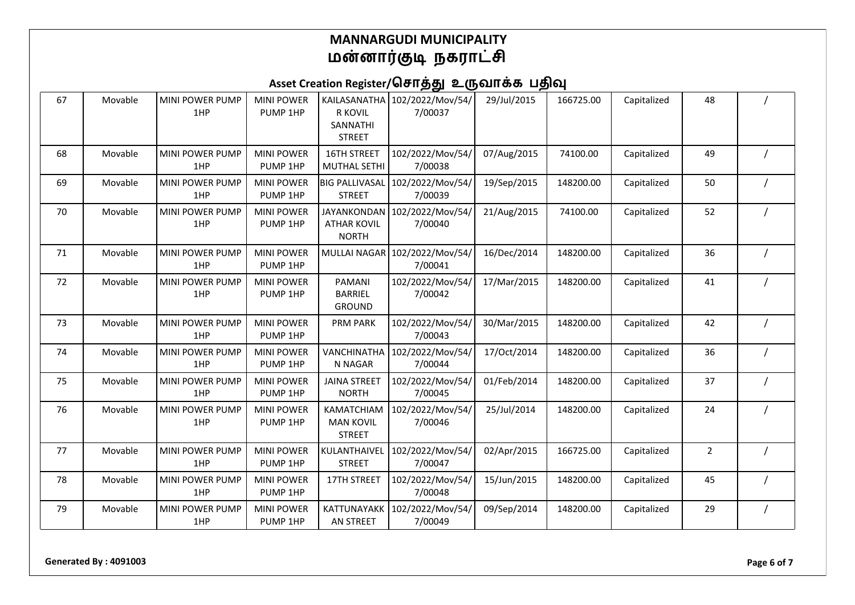| 67 | Movable | MINI POWER PUMP<br>1HP        | <b>MINI POWER</b><br>PUMP 1HP | KAILASANATHA<br>R KOVIL<br>SANNATHI<br><b>STREET</b>     | 102/2022/Mov/54/<br>7/00037              | 29/Jul/2015 | 166725.00 | Capitalized | 48             |  |
|----|---------|-------------------------------|-------------------------------|----------------------------------------------------------|------------------------------------------|-------------|-----------|-------------|----------------|--|
| 68 | Movable | MINI POWER PUMP<br>1HP        | <b>MINI POWER</b><br>PUMP 1HP | 16TH STREET<br><b>MUTHAL SETHI</b>                       | 102/2022/Mov/54/<br>7/00038              | 07/Aug/2015 | 74100.00  | Capitalized | 49             |  |
| 69 | Movable | <b>MINI POWER PUMP</b><br>1HP | <b>MINI POWER</b><br>PUMP 1HP | <b>BIG PALLIVASAL</b><br><b>STREET</b>                   | 102/2022/Mov/54/<br>7/00039              | 19/Sep/2015 | 148200.00 | Capitalized | 50             |  |
| 70 | Movable | <b>MINI POWER PUMP</b><br>1HP | <b>MINI POWER</b><br>PUMP 1HP | <b>JAYANKONDAN</b><br><b>ATHAR KOVIL</b><br><b>NORTH</b> | 102/2022/Mov/54/<br>7/00040              | 21/Aug/2015 | 74100.00  | Capitalized | 52             |  |
| 71 | Movable | MINI POWER PUMP<br>1HP        | <b>MINI POWER</b><br>PUMP 1HP |                                                          | MULLAI NAGAR 102/2022/Mov/54/<br>7/00041 | 16/Dec/2014 | 148200.00 | Capitalized | 36             |  |
| 72 | Movable | MINI POWER PUMP<br>1HP        | <b>MINI POWER</b><br>PUMP 1HP | PAMANI<br><b>BARRIEL</b><br><b>GROUND</b>                | 102/2022/Mov/54/<br>7/00042              | 17/Mar/2015 | 148200.00 | Capitalized | 41             |  |
| 73 | Movable | <b>MINI POWER PUMP</b><br>1HP | <b>MINI POWER</b><br>PUMP 1HP | <b>PRM PARK</b>                                          | 102/2022/Mov/54/<br>7/00043              | 30/Mar/2015 | 148200.00 | Capitalized | 42             |  |
| 74 | Movable | <b>MINI POWER PUMP</b><br>1HP | <b>MINI POWER</b><br>PUMP 1HP | VANCHINATHA<br>N NAGAR                                   | 102/2022/Mov/54/<br>7/00044              | 17/Oct/2014 | 148200.00 | Capitalized | 36             |  |
| 75 | Movable | MINI POWER PUMP<br>1HP        | <b>MINI POWER</b><br>PUMP 1HP | <b>JAINA STREET</b><br><b>NORTH</b>                      | 102/2022/Mov/54/<br>7/00045              | 01/Feb/2014 | 148200.00 | Capitalized | 37             |  |
| 76 | Movable | <b>MINI POWER PUMP</b><br>1HP | <b>MINI POWER</b><br>PUMP 1HP | KAMATCHIAM<br><b>MAN KOVIL</b><br><b>STREET</b>          | 102/2022/Mov/54/<br>7/00046              | 25/Jul/2014 | 148200.00 | Capitalized | 24             |  |
| 77 | Movable | MINI POWER PUMP<br>1HP        | <b>MINI POWER</b><br>PUMP 1HP | KULANTHAIVEL<br><b>STREET</b>                            | 102/2022/Mov/54/<br>7/00047              | 02/Apr/2015 | 166725.00 | Capitalized | $\overline{2}$ |  |
| 78 | Movable | MINI POWER PUMP<br>1HP        | <b>MINI POWER</b><br>PUMP 1HP | 17TH STREET                                              | 102/2022/Mov/54/<br>7/00048              | 15/Jun/2015 | 148200.00 | Capitalized | 45             |  |
| 79 | Movable | MINI POWER PUMP<br>1HP        | <b>MINI POWER</b><br>PUMP 1HP | <b>KATTUNAYAKK</b><br>AN STREET                          | 102/2022/Mov/54/<br>7/00049              | 09/Sep/2014 | 148200.00 | Capitalized | 29             |  |